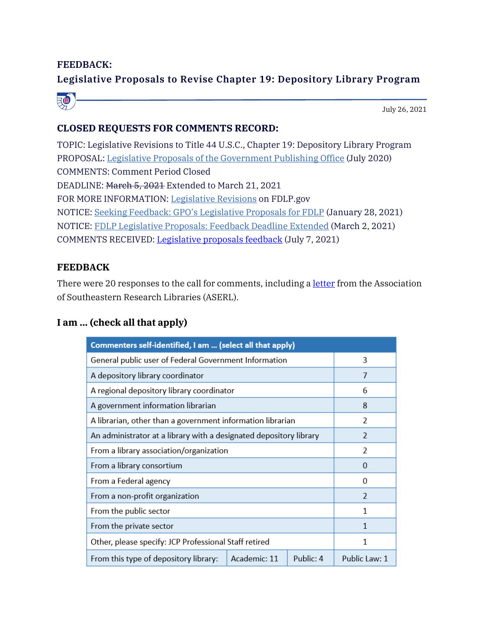## **FEEDBACK:**

# **Legislative Proposals to Revise Chapter 19: Depository Library Program**



# **CLOSED REQUESTS FOR COMMENTS RECORD:**

TOPIC: Legislative Revisions to Title 44 U.S.C., Chapter 19: Depository Library Program PROPOSAL: [Legislative Proposals of the Government Publishing Office](https://www.fdlp.gov/file-repository/about-the-fdlp/title-44-revision/4696-government-publishing-office-legislative-proposals-july-15-2020) (July 2020) COMMENTS: Comment Period Closed DEADLINE: March 5, 2021 Extended to March 21, 2021 FOR MORE INFORMATION: [Legislative Revisions](https://www.fdlp.gov/about-fdlp/23-projects/4884-legislative-revisions-to-title-44-u-s-c-chapter-19-depository-library-program) on FDLP.gov NOTICE: [Seeking Feedback: GPO's Legislative Proposals for FDLP](https://www.fdlp.gov/news-and-events/4890-seeking-feedback-gpo-s-legislative-proposals-for-fdlp) (January 28, 2021) NOTICE: [FDLP Legislative Proposals: Feedback Deadline Extended](https://www.fdlp.gov/news-and-events/4922-fdlp-legislative-proposals-feedback-deadline-extended) (March 2, 2021) COMMENTS RECEIVED: [Legislative proposals feedback](https://www.fdlp.gov/file-repository/about-the-fdlp/title-44-revision/4864-legislative-proposals-feedback) (July 7, 2021)

### **FEEDBACK**

There were 20 responses to the call for comments, including a [letter](https://www.fdlp.gov/file-repository/about-the-fdlp/title-44-revision/4775-feedback-from-the-association-of-southeastern-research-libraries-on-legislative-revisions-to-title-44-u-s-c) from the Association of Southeastern Research Libraries (ASERL).

### **I am ... (check all that apply)**

| Commenters self-identified, I am  (select all that apply)          |              |           |                |
|--------------------------------------------------------------------|--------------|-----------|----------------|
| General public user of Federal Government Information              |              |           | 3              |
| A depository library coordinator                                   |              |           | 7              |
| A regional depository library coordinator                          |              |           | 6              |
| A government information librarian                                 |              |           | 8              |
| A librarian, other than a government information librarian         |              |           | 2              |
| An administrator at a library with a designated depository library |              |           | $\overline{2}$ |
| From a library association/organization                            |              |           | 2              |
| From a library consortium                                          |              |           | $\Omega$       |
| From a Federal agency                                              |              |           | $\Omega$       |
| From a non-profit organization                                     |              |           | $\overline{2}$ |
| From the public sector                                             |              |           | 1              |
| From the private sector                                            |              |           | 1              |
| Other, please specify: JCP Professional Staff retired              |              |           | 1              |
| From this type of depository library:                              | Academic: 11 | Public: 4 | Public Law: 1  |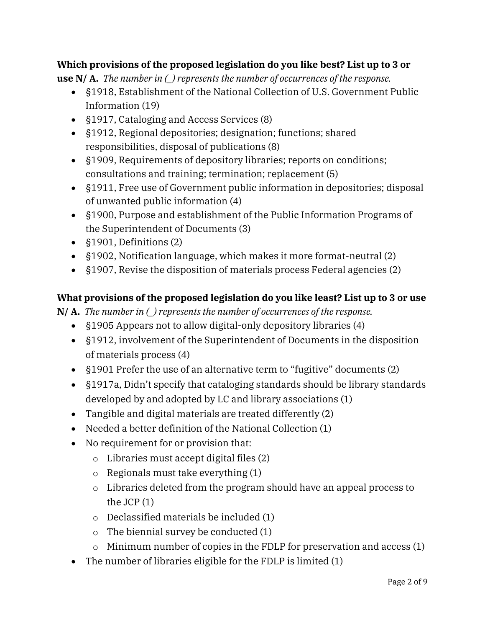# **Which provisions of the proposed legislation do you like best? List up to 3 or**

**use N/ A.** *The number in (\_) represents the number of occurrences of the response.* 

- §1918, Establishment of the National Collection of U.S. Government Public Information (19)
- §1917, Cataloging and Access Services (8)
- §1912, Regional depositories; designation; functions; shared responsibilities, disposal of publications (8)
- §1909, Requirements of depository libraries; reports on conditions; consultations and training; termination; replacement (5)
- §1911, Free use of Government public information in depositories; disposal of unwanted public information (4)
- §1900, Purpose and establishment of the Public Information Programs of the Superintendent of Documents (3)
- §1901, Definitions (2)
- §1902, Notification language, which makes it more format-neutral (2)
- §1907, Revise the disposition of materials process Federal agencies (2)

# **What provisions of the proposed legislation do you like least? List up to 3 or use**

**N/ A.** *The number in (\_) represents the number of occurrences of the response.*

- §1905 Appears not to allow digital-only depository libraries (4)
- §1912, involvement of the Superintendent of Documents in the disposition of materials process (4)
- §1901 Prefer the use of an alternative term to "fugitive" documents (2)
- §1917a, Didn't specify that cataloging standards should be library standards developed by and adopted by LC and library associations (1)
- Tangible and digital materials are treated differently (2)
- Needed a better definition of the National Collection (1)
- No requirement for or provision that:
	- o Libraries must accept digital files (2)
	- o Regionals must take everything (1)
	- o Libraries deleted from the program should have an appeal process to the JCP (1)
	- o Declassified materials be included (1)
	- o The biennial survey be conducted (1)
	- o Minimum number of copies in the FDLP for preservation and access (1)
- The number of libraries eligible for the FDLP is limited (1)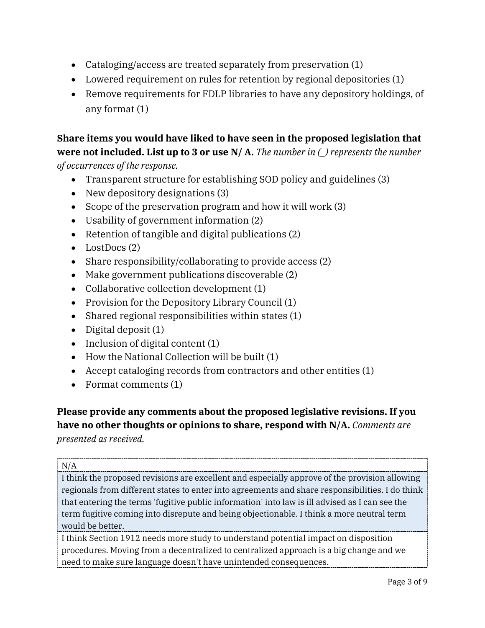- Cataloging/access are treated separately from preservation (1)
- Lowered requirement on rules for retention by regional depositories (1)
- Remove requirements for FDLP libraries to have any depository holdings, of any format (1)

**Share items you would have liked to have seen in the proposed legislation that were not included. List up to 3 or use N/ A.** *The number in (\_) represents the number of occurrences of the response.*

- Transparent structure for establishing SOD policy and guidelines (3)
- New depository designations (3)
- Scope of the preservation program and how it will work (3)
- Usability of government information (2)
- Retention of tangible and digital publications (2)
- LostDocs (2)
- Share responsibility/collaborating to provide access (2)
- Make government publications discoverable (2)
- Collaborative collection development (1)
- Provision for the Depository Library Council (1)
- Shared regional responsibilities within states (1)
- Digital deposit (1)
- Inclusion of digital content (1)
- How the National Collection will be built (1)
- Accept cataloging records from contractors and other entities (1)
- Format comments (1)

# **Please provide any comments about the proposed legislative revisions. If you have no other thoughts or opinions to share, respond with N/A.** *Comments are*

*presented as received.*

#### N/A

I think the proposed revisions are excellent and especially approve of the provision allowing regionals from different states to enter into agreements and share responsibilities. I do think that entering the terms 'fugitive public information' into law is ill advised as I can see the term fugitive coming into disrepute and being objectionable. I think a more neutral term would be better.

I think Section 1912 needs more study to understand potential impact on disposition procedures. Moving from a decentralized to centralized approach is a big change and we need to make sure language doesn't have unintended consequences.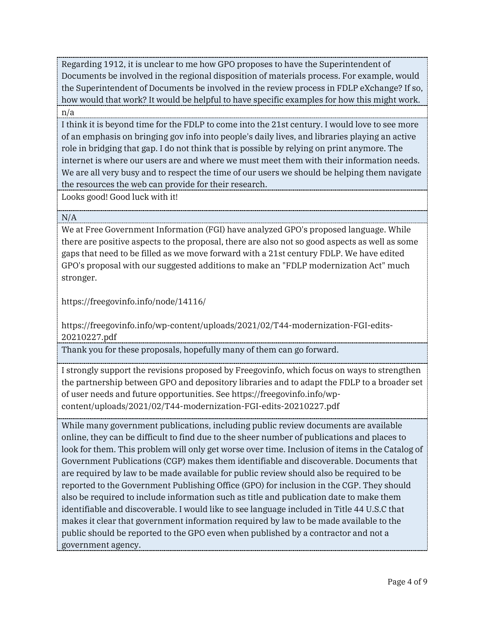Regarding 1912, it is unclear to me how GPO proposes to have the Superintendent of Documents be involved in the regional disposition of materials process. For example, would the Superintendent of Documents be involved in the review process in FDLP eXchange? If so, how would that work? It would be helpful to have specific examples for how this might work. n/a

I think it is beyond time for the FDLP to come into the 21st century. I would love to see more of an emphasis on bringing gov info into people's daily lives, and libraries playing an active role in bridging that gap. I do not think that is possible by relying on print anymore. The internet is where our users are and where we must meet them with their information needs. We are all very busy and to respect the time of our users we should be helping them navigate the resources the web can provide for their research.

Looks good! Good luck with it!

#### N/A

We at Free Government Information (FGI) have analyzed GPO's proposed language. While there are positive aspects to the proposal, there are also not so good aspects as well as some gaps that need to be filled as we move forward with a 21st century FDLP. We have edited GPO's proposal with our suggested additions to make an "FDLP modernization Act" much stronger.

https://freegovinfo.info/node/14116/

https://freegovinfo.info/wp-content/uploads/2021/02/T44-modernization-FGI-edits-20210227.pdf

Thank you for these proposals, hopefully many of them can go forward.

I strongly support the revisions proposed by Freegovinfo, which focus on ways to strengthen the partnership between GPO and depository libraries and to adapt the FDLP to a broader set of user needs and future opportunities. See https://freegovinfo.info/wpcontent/uploads/2021/02/T44-modernization-FGI-edits-20210227.pdf

While many government publications, including public review documents are available online, they can be difficult to find due to the sheer number of publications and places to look for them. This problem will only get worse over time. Inclusion of items in the Catalog of Government Publications (CGP) makes them identifiable and discoverable. Documents that are required by law to be made available for public review should also be required to be reported to the Government Publishing Office (GPO) for inclusion in the CGP. They should also be required to include information such as title and publication date to make them identifiable and discoverable. I would like to see language included in Title 44 U.S.C that makes it clear that government information required by law to be made available to the public should be reported to the GPO even when published by a contractor and not a government agency.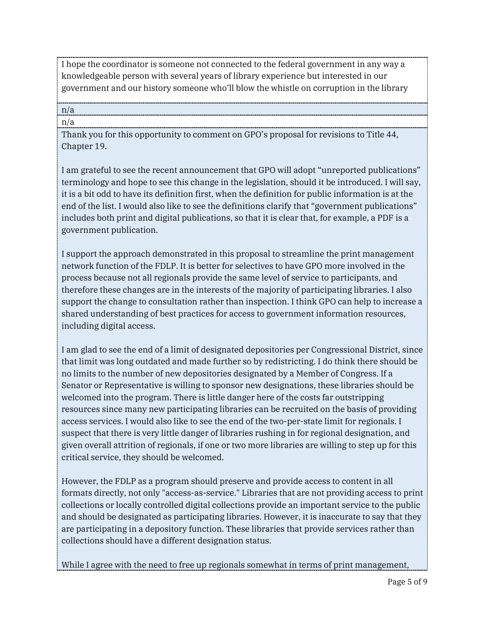I hope the coordinator is someone not connected to the federal government in any way a knowledgeable person with several years of library experience but interested in our government and our history someone who'll blow the whistle on corruption in the library

#### n/a n/a

Thank you for this opportunity to comment on GPO's proposal for revisions to Title 44, Chapter 19.

I am grateful to see the recent announcement that GPO will adopt "unreported publications" terminology and hope to see this change in the legislation, should it be introduced. I will say, it is a bit odd to have its definition first, when the definition for public information is at the end of the list. I would also like to see the definitions clarify that "government publications" includes both print and digital publications, so that it is clear that, for example, a PDF is a government publication.

I support the approach demonstrated in this proposal to streamline the print management network function of the FDLP. It is better for selectives to have GPO more involved in the process because not all regionals provide the same level of service to participants, and therefore these changes are in the interests of the majority of participating libraries. I also support the change to consultation rather than inspection. I think GPO can help to increase a shared understanding of best practices for access to government information resources, including digital access.

I am glad to see the end of a limit of designated depositories per Congressional District, since that limit was long outdated and made further so by redistricting. I do think there should be no limits to the number of new depositories designated by a Member of Congress. If a Senator or Representative is willing to sponsor new designations, these libraries should be welcomed into the program. There is little danger here of the costs far outstripping resources since many new participating libraries can be recruited on the basis of providing access services. I would also like to see the end of the two-per-state limit for regionals. I suspect that there is very little danger of libraries rushing in for regional designation, and given overall attrition of regionals, if one or two more libraries are willing to step up for this critical service, they should be welcomed.

However, the FDLP as a program should preserve and provide access to content in all formats directly, not only "access-as-service." Libraries that are not providing access to print collections or locally controlled digital collections provide an important service to the public and should be designated as participating libraries. However, it is inaccurate to say that they are participating in a depository function. These libraries that provide services rather than collections should have a different designation status.

While I agree with the need to free up regionals somewhat in terms of print management,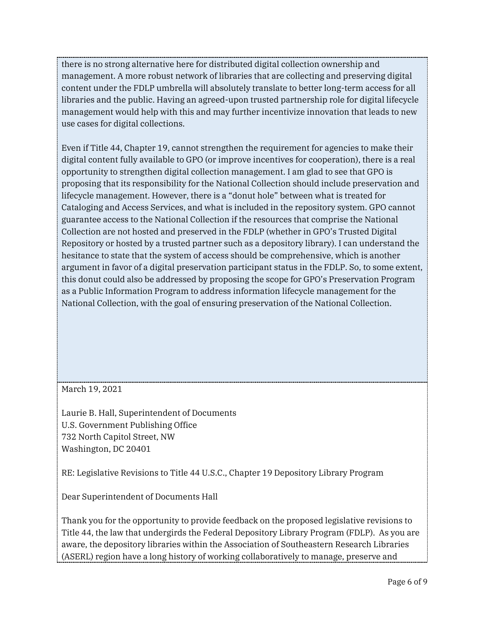there is no strong alternative here for distributed digital collection ownership and management. A more robust network of libraries that are collecting and preserving digital content under the FDLP umbrella will absolutely translate to better long-term access for all libraries and the public. Having an agreed-upon trusted partnership role for digital lifecycle management would help with this and may further incentivize innovation that leads to new use cases for digital collections.

Even if Title 44, Chapter 19, cannot strengthen the requirement for agencies to make their digital content fully available to GPO (or improve incentives for cooperation), there is a real opportunity to strengthen digital collection management. I am glad to see that GPO is proposing that its responsibility for the National Collection should include preservation and lifecycle management. However, there is a "donut hole" between what is treated for Cataloging and Access Services, and what is included in the repository system. GPO cannot guarantee access to the National Collection if the resources that comprise the National Collection are not hosted and preserved in the FDLP (whether in GPO's Trusted Digital Repository or hosted by a trusted partner such as a depository library). I can understand the hesitance to state that the system of access should be comprehensive, which is another argument in favor of a digital preservation participant status in the FDLP. So, to some extent, this donut could also be addressed by proposing the scope for GPO's Preservation Program as a Public Information Program to address information lifecycle management for the National Collection, with the goal of ensuring preservation of the National Collection.

### March 19, 2021

Laurie B. Hall, Superintendent of Documents U.S. Government Publishing Office 732 North Capitol Street, NW Washington, DC 20401

RE: Legislative Revisions to Title 44 U.S.C., Chapter 19 Depository Library Program

Dear Superintendent of Documents Hall

Thank you for the opportunity to provide feedback on the proposed legislative revisions to Title 44, the law that undergirds the Federal Depository Library Program (FDLP). As you are aware, the depository libraries within the Association of Southeastern Research Libraries (ASERL) region have a long history of working collaboratively to manage, preserve and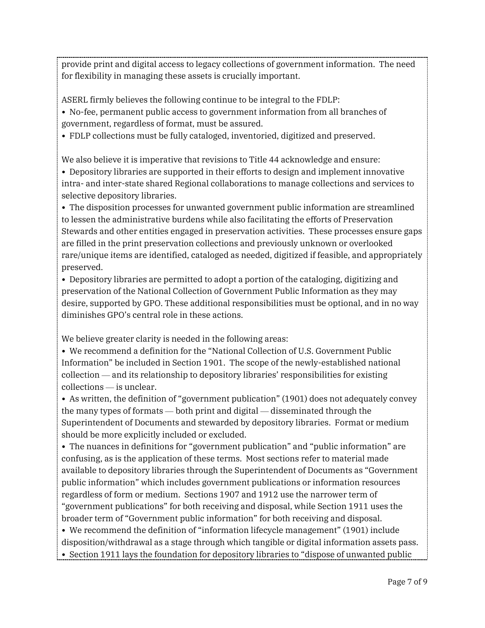provide print and digital access to legacy collections of government information. The need for flexibility in managing these assets is crucially important.

ASERL firmly believes the following continue to be integral to the FDLP:

• No-fee, permanent public access to government information from all branches of government, regardless of format, must be assured.

• FDLP collections must be fully cataloged, inventoried, digitized and preserved.

We also believe it is imperative that revisions to Title 44 acknowledge and ensure:

• Depository libraries are supported in their efforts to design and implement innovative intra- and inter-state shared Regional collaborations to manage collections and services to selective depository libraries.

• The disposition processes for unwanted government public information are streamlined to lessen the administrative burdens while also facilitating the efforts of Preservation Stewards and other entities engaged in preservation activities. These processes ensure gaps are filled in the print preservation collections and previously unknown or overlooked rare/unique items are identified, cataloged as needed, digitized if feasible, and appropriately preserved.

• Depository libraries are permitted to adopt a portion of the cataloging, digitizing and preservation of the National Collection of Government Public Information as they may desire, supported by GPO. These additional responsibilities must be optional, and in no way diminishes GPO's central role in these actions.

We believe greater clarity is needed in the following areas:

• We recommend a definition for the "National Collection of U.S. Government Public Information" be included in Section 1901. The scope of the newly-established national collection — and its relationship to depository libraries' responsibilities for existing collections — is unclear.

• As written, the definition of "government publication" (1901) does not adequately convey the many types of formats — both print and digital — disseminated through the Superintendent of Documents and stewarded by depository libraries. Format or medium should be more explicitly included or excluded.

• The nuances in definitions for "government publication" and "public information" are confusing, as is the application of these terms. Most sections refer to material made available to depository libraries through the Superintendent of Documents as "Government public information" which includes government publications or information resources regardless of form or medium. Sections 1907 and 1912 use the narrower term of "government publications" for both receiving and disposal, while Section 1911 uses the broader term of "Government public information" for both receiving and disposal.

• We recommend the definition of "information lifecycle management" (1901) include disposition/withdrawal as a stage through which tangible or digital information assets pass.

• Section 1911 lays the foundation for depository libraries to "dispose of unwanted public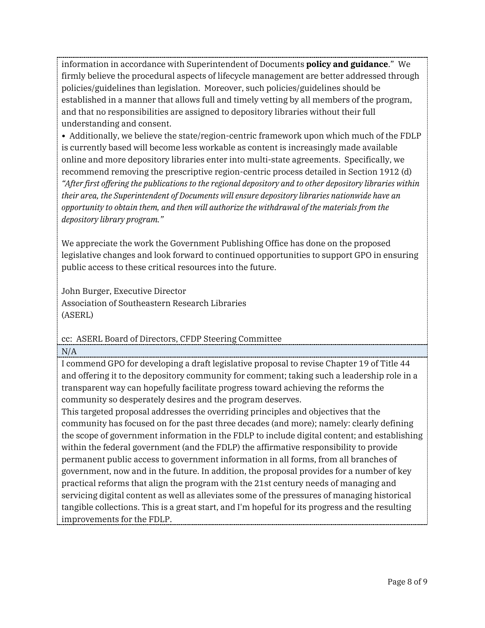information in accordance with Superintendent of Documents **policy and guidance**." We firmly believe the procedural aspects of lifecycle management are better addressed through policies/guidelines than legislation. Moreover, such policies/guidelines should be established in a manner that allows full and timely vetting by all members of the program, and that no responsibilities are assigned to depository libraries without their full understanding and consent.

• Additionally, we believe the state/region-centric framework upon which much of the FDLP is currently based will become less workable as content is increasingly made available online and more depository libraries enter into multi-state agreements. Specifically, we recommend removing the prescriptive region-centric process detailed in Section 1912 (d) *"After first offering the publications to the regional depository and to other depository libraries within their area, the Superintendent of Documents will ensure depository libraries nationwide have an opportunity to obtain them, and then will authorize the withdrawal of the materials from the depository library program."*

We appreciate the work the Government Publishing Office has done on the proposed legislative changes and look forward to continued opportunities to support GPO in ensuring public access to these critical resources into the future.

John Burger, Executive Director Association of Southeastern Research Libraries (ASERL)

cc: ASERL Board of Directors, CFDP Steering Committee

 $N/A$ 

I commend GPO for developing a draft legislative proposal to revise Chapter 19 of Title 44 and offering it to the depository community for comment; taking such a leadership role in a transparent way can hopefully facilitate progress toward achieving the reforms the community so desperately desires and the program deserves.

This targeted proposal addresses the overriding principles and objectives that the community has focused on for the past three decades (and more); namely: clearly defining the scope of government information in the FDLP to include digital content; and establishing within the federal government (and the FDLP) the affirmative responsibility to provide permanent public access to government information in all forms, from all branches of government, now and in the future. In addition, the proposal provides for a number of key practical reforms that align the program with the 21st century needs of managing and servicing digital content as well as alleviates some of the pressures of managing historical tangible collections. This is a great start, and I'm hopeful for its progress and the resulting improvements for the FDLP.